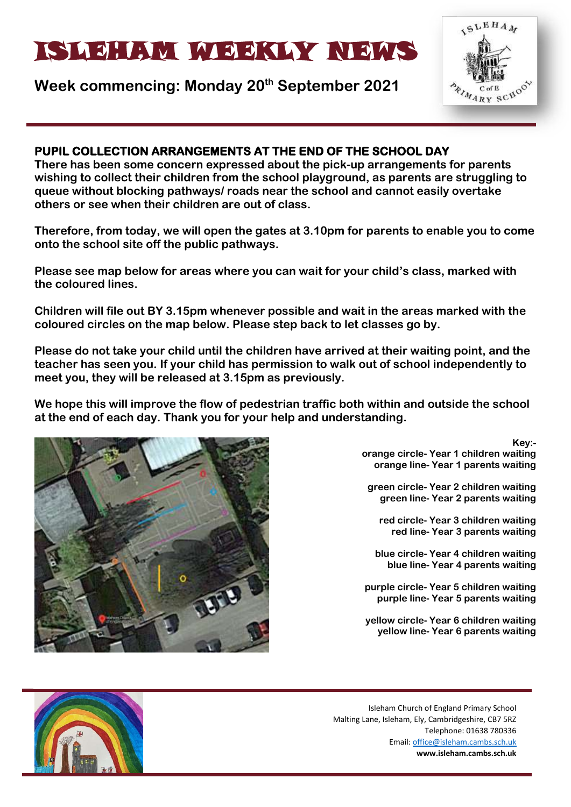# ISLEHAM MEEKLY NEWS

## **Week commencing: Monday 20th September 2021**



## **PUPIL COLLECTION ARRANGEMENTS AT THE END OF THE SCHOOL DAY**

**There has been some concern expressed about the pick-up arrangements for parents wishing to collect their children from the school playground, as parents are struggling to queue without blocking pathways/ roads near the school and cannot easily overtake others or see when their children are out of class.**

**Therefore, from today, we will open the gates at 3.10pm for parents to enable you to come onto the school site off the public pathways.**

**Please see map below for areas where you can wait for your child's class, marked with the coloured lines.** 

**Children will file out BY 3.15pm whenever possible and wait in the areas marked with the coloured circles on the map below. Please step back to let classes go by.**

**Please do not take your child until the children have arrived at their waiting point, and the teacher has seen you. If your child has permission to walk out of school independently to meet you, they will be released at 3.15pm as previously.** 

**We hope this will improve the flow of pedestrian traffic both within and outside the school at the end of each day. Thank you for your help and understanding.**



**Key: orange circle- Year 1 children waiting orange line- Year 1 parents waiting**

**green circle- Year 2 children waiting green line- Year 2 parents waiting**

**red circle- Year 3 children waiting red line- Year 3 parents waiting**

**blue circle- Year 4 children waiting blue line- Year 4 parents waiting**

**purple circle- Year 5 children waiting purple line- Year 5 parents waiting**

**yellow circle- Year 6 children waiting yellow line- Year 6 parents waiting**

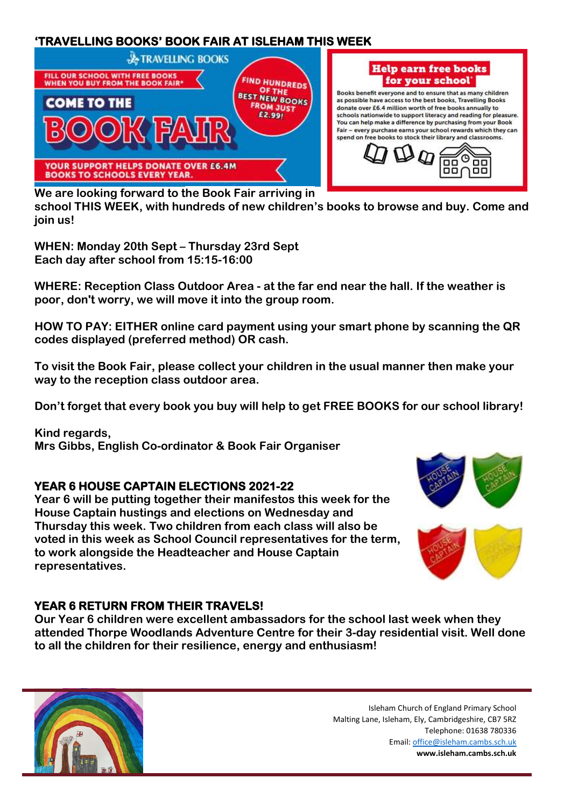## **'TRAVELLING BOOKS' BOOK FAIR AT ISLEHAM THIS WEEK**



**We are looking forward to the Book Fair arriving in school THIS WEEK, with hundreds of new children's books to browse and buy. Come and join us!**

**WHEN: Monday 20th Sept – Thursday 23rd Sept Each day after school from 15:15-16:00**

**WHERE: Reception Class Outdoor Area - at the far end near the hall. If the weather is poor, don't worry, we will move it into the group room.**

**HOW TO PAY: EITHER online card payment using your smart phone by scanning the QR codes displayed (preferred method) OR cash.**

**To visit the Book Fair, please collect your children in the usual manner then make your way to the reception class outdoor area.**

**Don't forget that every book you buy will help to get FREE BOOKS for our school library!**

**Kind regards, Mrs Gibbs, English Co-ordinator & Book Fair Organiser**

## **YEAR 6 HOUSE CAPTAIN ELECTIONS 2021-22**

**Year 6 will be putting together their manifestos this week for the House Captain hustings and elections on Wednesday and Thursday this week. Two children from each class will also be voted in this week as School Council representatives for the term, to work alongside the Headteacher and House Captain representatives.** 





## **YEAR 6 RETURN FROM THEIR TRAVELS!**

**Our Year 6 children were excellent ambassadors for the school last week when they attended Thorpe Woodlands Adventure Centre for their 3-day residential visit. Well done to all the children for their resilience, energy and enthusiasm!**

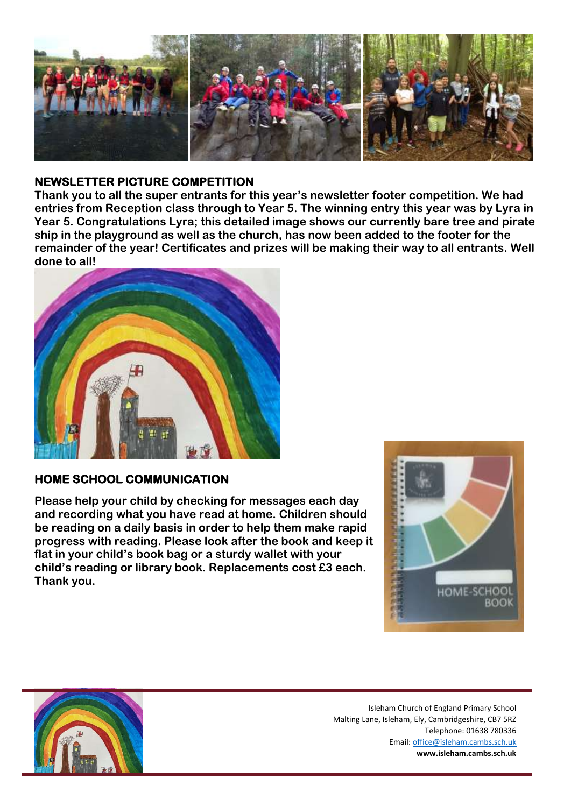

#### **NEWSLETTER PICTURE COMPETITION**

**Thank you to all the super entrants for this year's newsletter footer competition. We had entries from Reception class through to Year 5. The winning entry this year was by Lyra in Year 5. Congratulations Lyra; this detailed image shows our currently bare tree and pirate ship in the playground as well as the church, has now been added to the footer for the remainder of the year! Certificates and prizes will be making their way to all entrants. Well done to all!**



## **HOME SCHOOL COMMUNICATION**

**Please help your child by checking for messages each day and recording what you have read at home. Children should be reading on a daily basis in order to help them make rapid progress with reading. Please look after the book and keep it flat in your child's book bag or a sturdy wallet with your child's reading or library book. Replacements cost £3 each. Thank you.** 



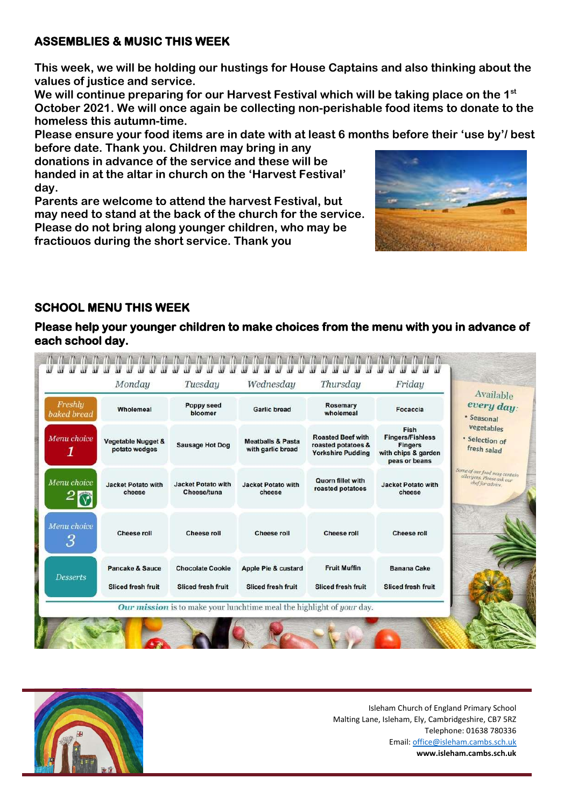#### **ASSEMBLIES & MUSIC THIS WEEK**

**This week, we will be holding our hustings for House Captains and also thinking about the values of justice and service.** 

**We will continue preparing for our Harvest Festival which will be taking place on the 1st October 2021. We will once again be collecting non-perishable food items to donate to the homeless this autumn-time.**

**Please ensure your food items are in date with at least 6 months before their 'use by'/ best before date. Thank you. Children may bring in any** 

**donations in advance of the service and these will be handed in at the altar in church on the 'Harvest Festival' day.**

**Parents are welcome to attend the harvest Festival, but may need to stand at the back of the church for the service. Please do not bring along younger children, who may be fractiouos during the short service. Thank you**



## **SCHOOL MENU THIS WEEK**

**Please help your younger children to make choices from the menu with you in advance of each school day.** 

| Freshly<br>baked bread | Wholemeal                                      | Poppy seed<br>bloomer                                | Garlic bread                                      | Rosemary<br>wholemeal                                                      | Focaccia                                                                                  | Available<br>every day:<br>· Seasonal                                         |
|------------------------|------------------------------------------------|------------------------------------------------------|---------------------------------------------------|----------------------------------------------------------------------------|-------------------------------------------------------------------------------------------|-------------------------------------------------------------------------------|
| Menu choice            | <b>Vegetable Nugget &amp;</b><br>potato wedges | <b>Sausage Hot Dog</b>                               | <b>Meatballs &amp; Pasta</b><br>with garlic bread | <b>Roasted Beef with</b><br>roasted potatoes &<br><b>Yorkshire Pudding</b> | Fish<br><b>Fingers/Fishless</b><br><b>Fingers</b><br>with chips & garden<br>peas or beans | vegetables<br>· Selection of<br>fresh salad                                   |
| Menu choice            | <b>Jacket Potato with</b><br>cheese            | <b>Jacket Potato with</b><br>Cheese/tuna             | <b>Jacket Potato with</b><br>cheese               | Quorn fillet with<br>roasted potatoes                                      | <b>Jacket Potato with</b><br>cheese                                                       | Some of our food may contain<br>allergens. Please ask our<br>chef for advice. |
| Menu choice<br>3       | Cheese roll                                    | <b>Cheese roll</b>                                   | <b>Cheese roll</b>                                | <b>Cheese roll</b>                                                         | <b>Cheese roll</b>                                                                        |                                                                               |
| <b>Desserts</b>        | Pancake & Sauce<br><b>Sliced fresh fruit</b>   | <b>Chocolate Cookie</b><br><b>Sliced fresh fruit</b> | Apple Pie & custard<br><b>Sliced fresh fruit</b>  | <b>Fruit Muffin</b><br><b>Sliced fresh fruit</b>                           | Banana Cake<br><b>Sliced fresh fruit</b>                                                  |                                                                               |

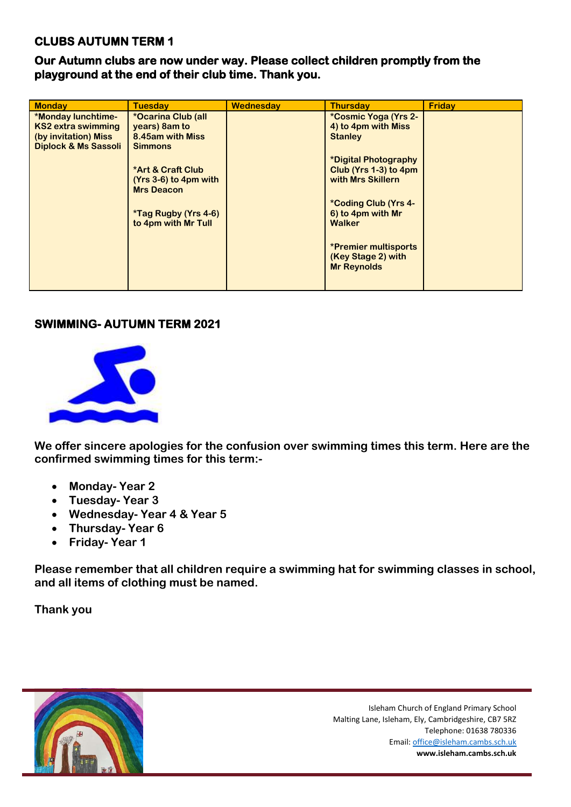#### **CLUBS AUTUMN TERM 1**

**Our Autumn clubs are now under way. Please collect children promptly from the playground at the end of their club time. Thank you.** 

| <b>Monday</b>                   | <b>Tuesdav</b>               | Wednesday | <b>Thursdav</b>             | Friday |
|---------------------------------|------------------------------|-----------|-----------------------------|--------|
| *Monday lunchtime-              | *Ocarina Club (all           |           | *Cosmic Yoga (Yrs 2-        |        |
| KS2 extra swimming              | years) 8am to                |           | 4) to 4pm with Miss         |        |
| (by invitation) Miss            | 8.45am with Miss             |           | <b>Stanley</b>              |        |
| <b>Diplock &amp; Ms Sassoli</b> | <b>Simmons</b>               |           |                             |        |
|                                 |                              |           | *Digital Photography        |        |
|                                 | <b>*Art &amp; Craft Club</b> |           | Club (Yrs 1-3) to 4pm       |        |
|                                 | $(Yrs 3-6)$ to 4pm with      |           | with Mrs Skillern           |        |
|                                 | <b>Mrs Deacon</b>            |           |                             |        |
|                                 |                              |           | *Coding Club (Yrs 4-        |        |
|                                 | <i>*</i> Tag Rugby (Yrs 4-6) |           | 6) to 4pm with Mr           |        |
|                                 | to 4pm with Mr Tull          |           | Walker                      |        |
|                                 |                              |           |                             |        |
|                                 |                              |           | <b>*Premier multisports</b> |        |
|                                 |                              |           | (Key Stage 2) with          |        |
|                                 |                              |           | <b>Mr Reynolds</b>          |        |
|                                 |                              |           |                             |        |
|                                 |                              |           |                             |        |

#### **SWIMMING- AUTUMN TERM 2021**



**We offer sincere apologies for the confusion over swimming times this term. Here are the confirmed swimming times for this term:-**

- **Monday- Year 2**
- **Tuesday- Year 3**
- **Wednesday- Year 4 & Year 5**
- **Thursday- Year 6**
- **Friday- Year 1**

**Please remember that all children require a swimming hat for swimming classes in school, and all items of clothing must be named.** 

**Thank you**

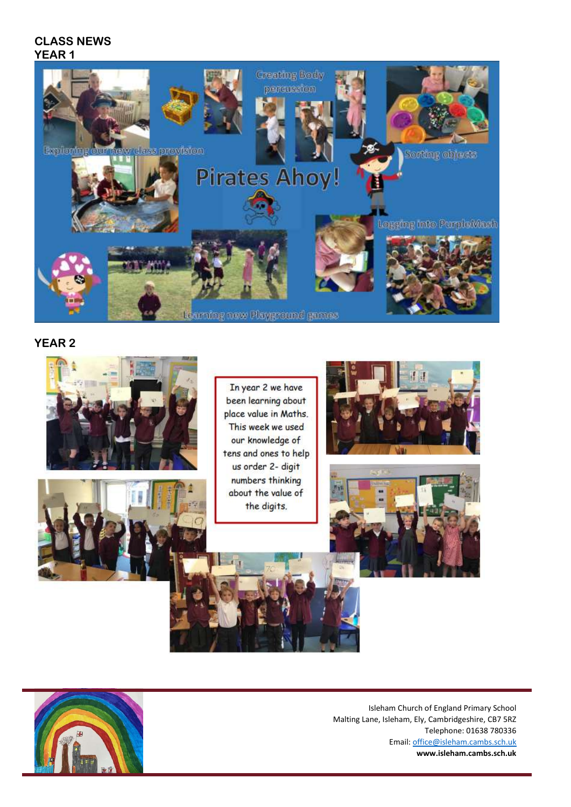#### **CLASS NEWS YEAR 1**



#### **YEAR 2**





In year 2 we have been learning about place value in Maths. This week we used our knowledge of tens and ones to help us order 2- digit numbers thinking about the value of the digits.







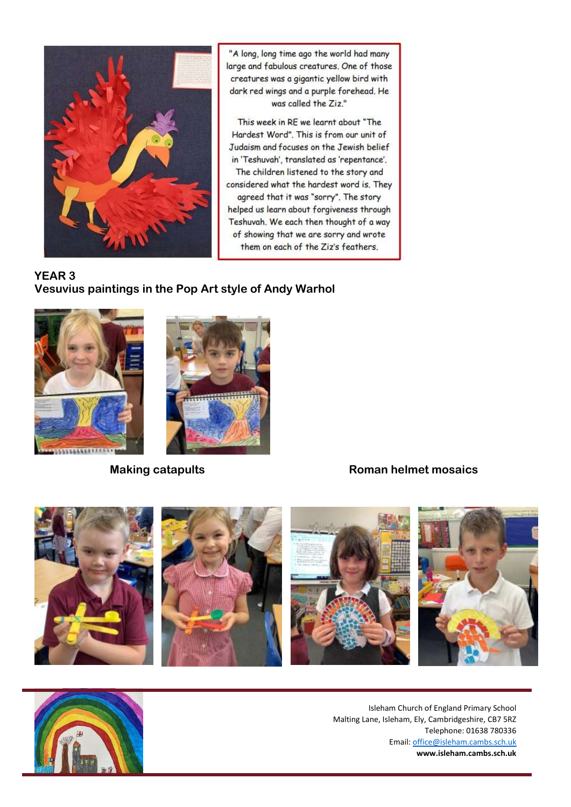

"A long, long time ago the world had many large and fabulous creatures. One of those creatures was a gigantic yellow bird with dark red wings and a purple forehead. He was called the Ziz."

This week in RE we learnt about "The Hardest Word". This is from our unit of Judaism and focuses on the Jewish belief in 'Teshuvah', translated as 'repentance'. The children listened to the story and considered what the hardest word is. They agreed that it was "sorry". The story helped us learn about forgiveness through Teshuvah. We each then thought of a way of showing that we are sorry and wrote them on each of the Ziz's feathers.

#### **YEAR 3 Vesuvius paintings in the Pop Art style of Andy Warhol**





## **Making catapults Roman helmet mosaics**